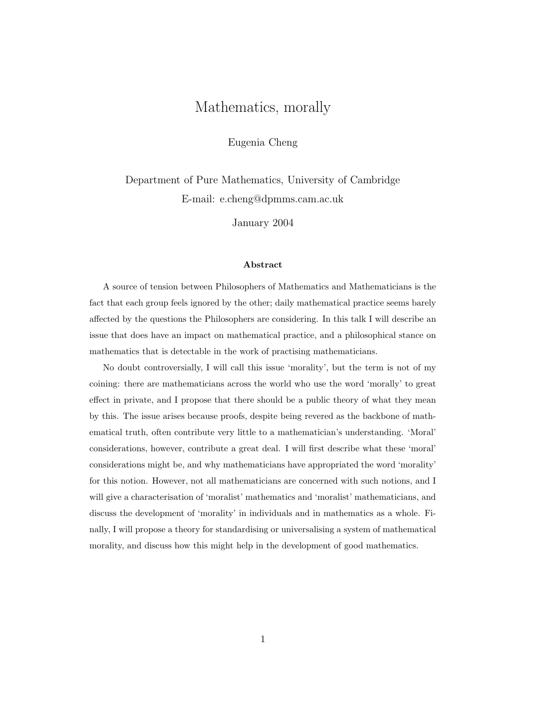# Mathematics, morally

Eugenia Cheng

Department of Pure Mathematics, University of Cambridge E-mail: e.cheng@dpmms.cam.ac.uk

January 2004

#### Abstract

A source of tension between Philosophers of Mathematics and Mathematicians is the fact that each group feels ignored by the other; daily mathematical practice seems barely affected by the questions the Philosophers are considering. In this talk I will describe an issue that does have an impact on mathematical practice, and a philosophical stance on mathematics that is detectable in the work of practising mathematicians.

No doubt controversially, I will call this issue 'morality', but the term is not of my coining: there are mathematicians across the world who use the word 'morally' to great effect in private, and I propose that there should be a public theory of what they mean by this. The issue arises because proofs, despite being revered as the backbone of mathematical truth, often contribute very little to a mathematician's understanding. 'Moral' considerations, however, contribute a great deal. I will first describe what these 'moral' considerations might be, and why mathematicians have appropriated the word 'morality' for this notion. However, not all mathematicians are concerned with such notions, and I will give a characterisation of 'moralist' mathematics and 'moralist' mathematicians, and discuss the development of 'morality' in individuals and in mathematics as a whole. Finally, I will propose a theory for standardising or universalising a system of mathematical morality, and discuss how this might help in the development of good mathematics.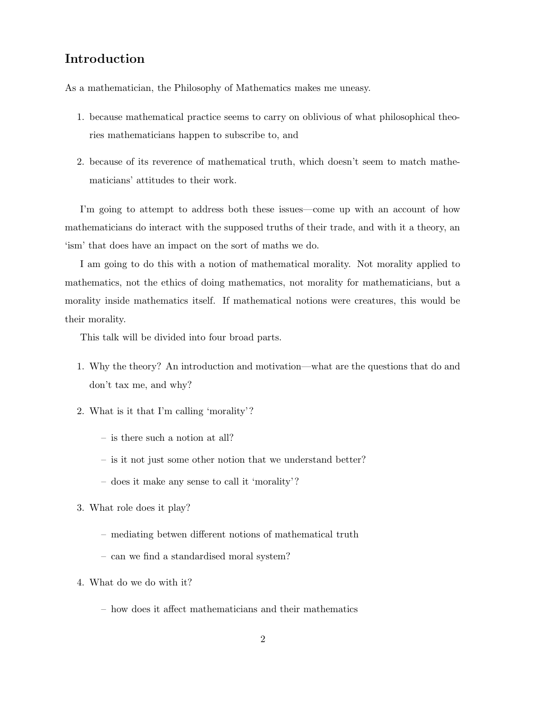# Introduction

As a mathematician, the Philosophy of Mathematics makes me uneasy.

- 1. because mathematical practice seems to carry on oblivious of what philosophical theories mathematicians happen to subscribe to, and
- 2. because of its reverence of mathematical truth, which doesn't seem to match mathematicians' attitudes to their work.

I'm going to attempt to address both these issues—come up with an account of how mathematicians do interact with the supposed truths of their trade, and with it a theory, an 'ism' that does have an impact on the sort of maths we do.

I am going to do this with a notion of mathematical morality. Not morality applied to mathematics, not the ethics of doing mathematics, not morality for mathematicians, but a morality inside mathematics itself. If mathematical notions were creatures, this would be their morality.

This talk will be divided into four broad parts.

- 1. Why the theory? An introduction and motivation—what are the questions that do and don't tax me, and why?
- 2. What is it that I'm calling 'morality'?
	- is there such a notion at all?
	- is it not just some other notion that we understand better?
	- does it make any sense to call it 'morality'?
- 3. What role does it play?
	- mediating betwen different notions of mathematical truth
	- can we find a standardised moral system?
- 4. What do we do with it?
	- how does it affect mathematicians and their mathematics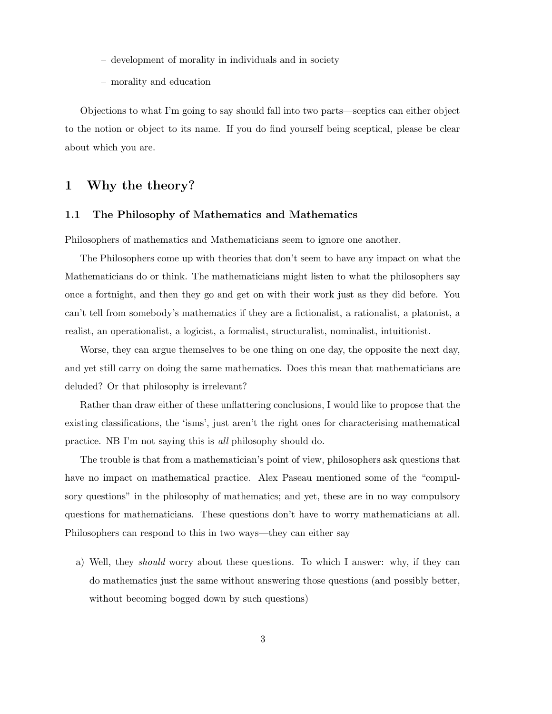- development of morality in individuals and in society
- morality and education

Objections to what I'm going to say should fall into two parts—sceptics can either object to the notion or object to its name. If you do find yourself being sceptical, please be clear about which you are.

# 1 Why the theory?

### 1.1 The Philosophy of Mathematics and Mathematics

Philosophers of mathematics and Mathematicians seem to ignore one another.

The Philosophers come up with theories that don't seem to have any impact on what the Mathematicians do or think. The mathematicians might listen to what the philosophers say once a fortnight, and then they go and get on with their work just as they did before. You can't tell from somebody's mathematics if they are a fictionalist, a rationalist, a platonist, a realist, an operationalist, a logicist, a formalist, structuralist, nominalist, intuitionist.

Worse, they can argue themselves to be one thing on one day, the opposite the next day, and yet still carry on doing the same mathematics. Does this mean that mathematicians are deluded? Or that philosophy is irrelevant?

Rather than draw either of these unflattering conclusions, I would like to propose that the existing classifications, the 'isms', just aren't the right ones for characterising mathematical practice. NB I'm not saying this is all philosophy should do.

The trouble is that from a mathematician's point of view, philosophers ask questions that have no impact on mathematical practice. Alex Paseau mentioned some of the "compulsory questions" in the philosophy of mathematics; and yet, these are in no way compulsory questions for mathematicians. These questions don't have to worry mathematicians at all. Philosophers can respond to this in two ways—they can either say

a) Well, they should worry about these questions. To which I answer: why, if they can do mathematics just the same without answering those questions (and possibly better, without becoming bogged down by such questions)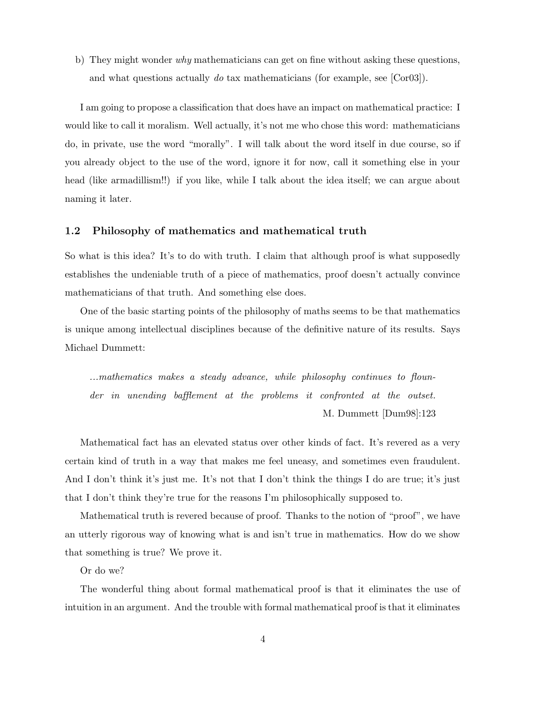b) They might wonder why mathematicians can get on fine without asking these questions, and what questions actually do tax mathematicians (for example, see [Cor03]).

I am going to propose a classification that does have an impact on mathematical practice: I would like to call it moralism. Well actually, it's not me who chose this word: mathematicians do, in private, use the word "morally". I will talk about the word itself in due course, so if you already object to the use of the word, ignore it for now, call it something else in your head (like armadillism!!) if you like, while I talk about the idea itself; we can argue about naming it later.

### 1.2 Philosophy of mathematics and mathematical truth

So what is this idea? It's to do with truth. I claim that although proof is what supposedly establishes the undeniable truth of a piece of mathematics, proof doesn't actually convince mathematicians of that truth. And something else does.

One of the basic starting points of the philosophy of maths seems to be that mathematics is unique among intellectual disciplines because of the definitive nature of its results. Says Michael Dummett:

...mathematics makes a steady advance, while philosophy continues to flounder in unending bafflement at the problems it confronted at the outset. M. Dummett [Dum98]:123

Mathematical fact has an elevated status over other kinds of fact. It's revered as a very certain kind of truth in a way that makes me feel uneasy, and sometimes even fraudulent. And I don't think it's just me. It's not that I don't think the things I do are true; it's just that I don't think they're true for the reasons I'm philosophically supposed to.

Mathematical truth is revered because of proof. Thanks to the notion of "proof", we have an utterly rigorous way of knowing what is and isn't true in mathematics. How do we show that something is true? We prove it.

Or do we?

The wonderful thing about formal mathematical proof is that it eliminates the use of intuition in an argument. And the trouble with formal mathematical proof is that it eliminates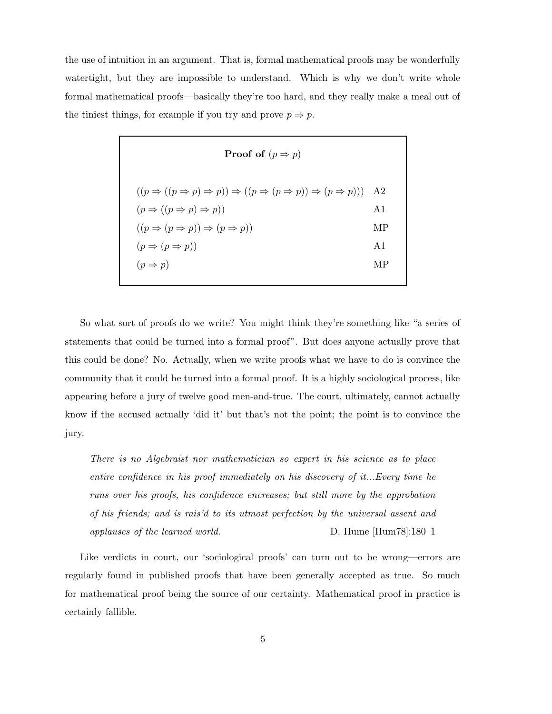the use of intuition in an argument. That is, formal mathematical proofs may be wonderfully watertight, but they are impossible to understand. Which is why we don't write whole formal mathematical proofs—basically they're too hard, and they really make a meal out of the tiniest things, for example if you try and prove  $p \Rightarrow p$ .

| <b>Proof of</b> $(p \Rightarrow p)$                                                                                                                                                                                                                                                                                             |                                           |  |  |  |
|---------------------------------------------------------------------------------------------------------------------------------------------------------------------------------------------------------------------------------------------------------------------------------------------------------------------------------|-------------------------------------------|--|--|--|
| $((p \Rightarrow ((p \Rightarrow p) \Rightarrow p)) \Rightarrow ((p \Rightarrow (p \Rightarrow p)) \Rightarrow (p \Rightarrow p)))$<br>$(p \Rightarrow ((p \Rightarrow p) \Rightarrow p))$<br>$((p \Rightarrow (p \Rightarrow p)) \Rightarrow (p \Rightarrow p))$<br>$(p \Rightarrow (p \Rightarrow p))$<br>$(p \Rightarrow p)$ | A2<br>A <sub>1</sub><br>МP<br>A $1$<br>MР |  |  |  |
|                                                                                                                                                                                                                                                                                                                                 |                                           |  |  |  |

So what sort of proofs do we write? You might think they're something like "a series of statements that could be turned into a formal proof". But does anyone actually prove that this could be done? No. Actually, when we write proofs what we have to do is convince the community that it could be turned into a formal proof. It is a highly sociological process, like appearing before a jury of twelve good men-and-true. The court, ultimately, cannot actually know if the accused actually 'did it' but that's not the point; the point is to convince the jury.

There is no Algebraist nor mathematician so expert in his science as to place entire confidence in his proof immediately on his discovery of it...Every time he runs over his proofs, his confidence encreases; but still more by the approbation of his friends; and is rais'd to its utmost perfection by the universal assent and applauses of the learned world. D. Hume [Hum78]:180–1

Like verdicts in court, our 'sociological proofs' can turn out to be wrong—errors are regularly found in published proofs that have been generally accepted as true. So much for mathematical proof being the source of our certainty. Mathematical proof in practice is certainly fallible.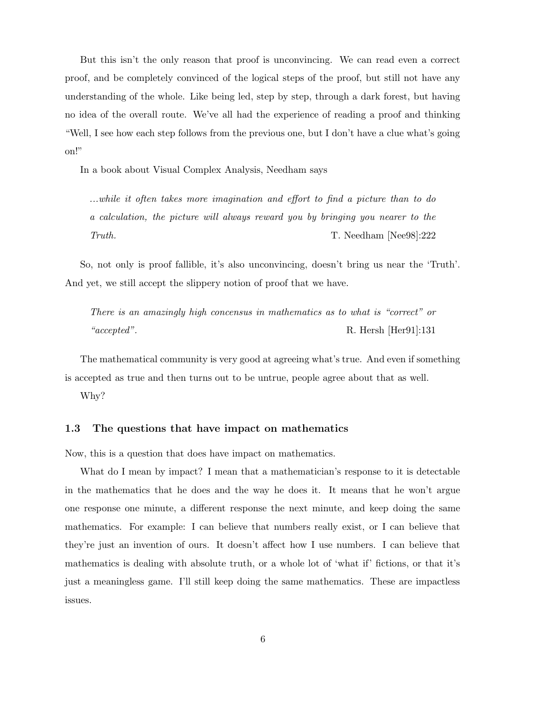But this isn't the only reason that proof is unconvincing. We can read even a correct proof, and be completely convinced of the logical steps of the proof, but still not have any understanding of the whole. Like being led, step by step, through a dark forest, but having no idea of the overall route. We've all had the experience of reading a proof and thinking "Well, I see how each step follows from the previous one, but I don't have a clue what's going on!"

In a book about Visual Complex Analysis, Needham says

...while it often takes more imagination and effort to find a picture than to do a calculation, the picture will always reward you by bringing you nearer to the Truth. The T. Needham [Nee98]:222

So, not only is proof fallible, it's also unconvincing, doesn't bring us near the 'Truth'. And yet, we still accept the slippery notion of proof that we have.

There is an amazingly high concensus in mathematics as to what is "correct" or "accepted". R. Hersh [Her91]:131

The mathematical community is very good at agreeing what's true. And even if something is accepted as true and then turns out to be untrue, people agree about that as well.

Why?

### 1.3 The questions that have impact on mathematics

Now, this is a question that does have impact on mathematics.

What do I mean by impact? I mean that a mathematician's response to it is detectable in the mathematics that he does and the way he does it. It means that he won't argue one response one minute, a different response the next minute, and keep doing the same mathematics. For example: I can believe that numbers really exist, or I can believe that they're just an invention of ours. It doesn't affect how I use numbers. I can believe that mathematics is dealing with absolute truth, or a whole lot of 'what if' fictions, or that it's just a meaningless game. I'll still keep doing the same mathematics. These are impactless issues.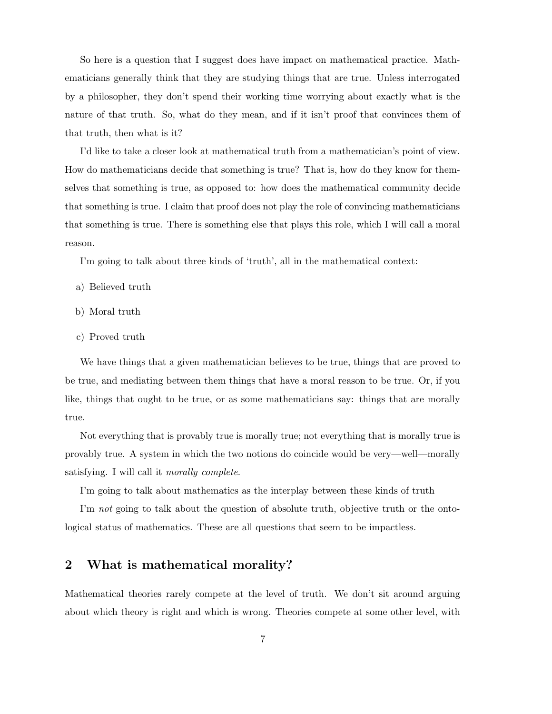So here is a question that I suggest does have impact on mathematical practice. Mathematicians generally think that they are studying things that are true. Unless interrogated by a philosopher, they don't spend their working time worrying about exactly what is the nature of that truth. So, what do they mean, and if it isn't proof that convinces them of that truth, then what is it?

I'd like to take a closer look at mathematical truth from a mathematician's point of view. How do mathematicians decide that something is true? That is, how do they know for themselves that something is true, as opposed to: how does the mathematical community decide that something is true. I claim that proof does not play the role of convincing mathematicians that something is true. There is something else that plays this role, which I will call a moral reason.

I'm going to talk about three kinds of 'truth', all in the mathematical context:

- a) Believed truth
- b) Moral truth
- c) Proved truth

We have things that a given mathematician believes to be true, things that are proved to be true, and mediating between them things that have a moral reason to be true. Or, if you like, things that ought to be true, or as some mathematicians say: things that are morally true.

Not everything that is provably true is morally true; not everything that is morally true is provably true. A system in which the two notions do coincide would be very—well—morally satisfying. I will call it morally complete.

I'm going to talk about mathematics as the interplay between these kinds of truth

I'm not going to talk about the question of absolute truth, objective truth or the ontological status of mathematics. These are all questions that seem to be impactless.

# 2 What is mathematical morality?

Mathematical theories rarely compete at the level of truth. We don't sit around arguing about which theory is right and which is wrong. Theories compete at some other level, with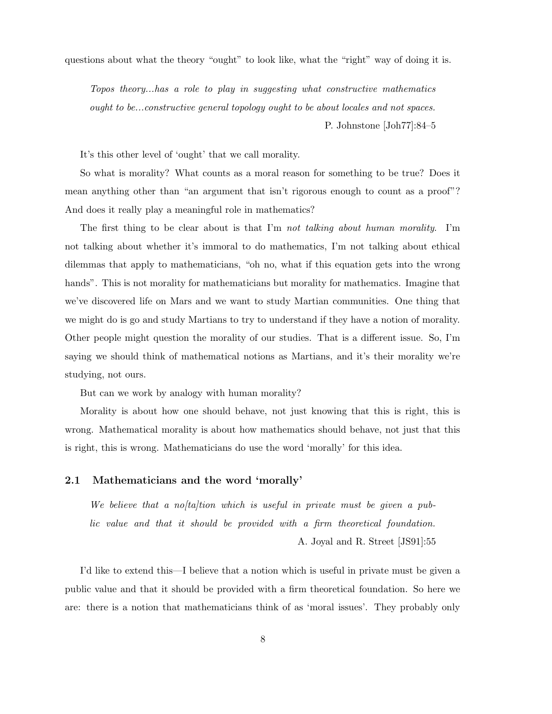questions about what the theory "ought" to look like, what the "right" way of doing it is.

Topos theory...has a role to play in suggesting what constructive mathematics ought to be...constructive general topology ought to be about locales and not spaces. P. Johnstone [Joh77]:84–5

It's this other level of 'ought' that we call morality.

So what is morality? What counts as a moral reason for something to be true? Does it mean anything other than "an argument that isn't rigorous enough to count as a proof"? And does it really play a meaningful role in mathematics?

The first thing to be clear about is that I'm not talking about human morality. I'm not talking about whether it's immoral to do mathematics, I'm not talking about ethical dilemmas that apply to mathematicians, "oh no, what if this equation gets into the wrong hands". This is not morality for mathematicians but morality for mathematics. Imagine that we've discovered life on Mars and we want to study Martian communities. One thing that we might do is go and study Martians to try to understand if they have a notion of morality. Other people might question the morality of our studies. That is a different issue. So, I'm saying we should think of mathematical notions as Martians, and it's their morality we're studying, not ours.

But can we work by analogy with human morality?

Morality is about how one should behave, not just knowing that this is right, this is wrong. Mathematical morality is about how mathematics should behave, not just that this is right, this is wrong. Mathematicians do use the word 'morally' for this idea.

### 2.1 Mathematicians and the word 'morally'

We believe that a no/ta/tion which is useful in private must be given a public value and that it should be provided with a firm theoretical foundation. A. Joyal and R. Street [JS91]:55

I'd like to extend this—I believe that a notion which is useful in private must be given a public value and that it should be provided with a firm theoretical foundation. So here we are: there is a notion that mathematicians think of as 'moral issues'. They probably only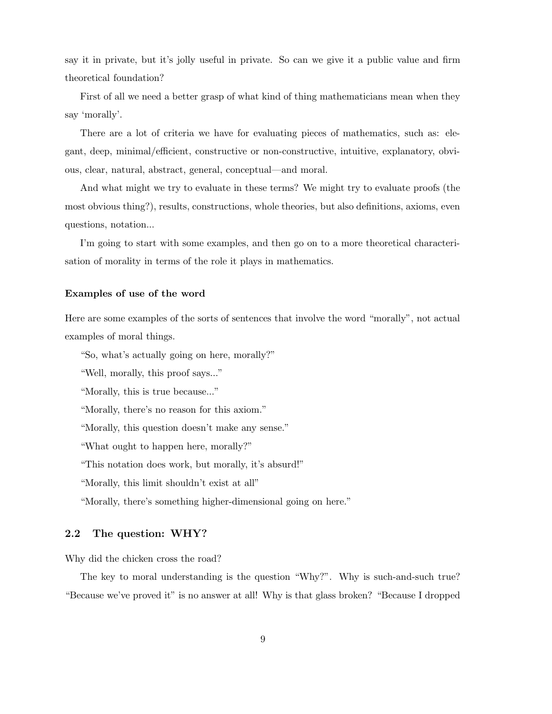say it in private, but it's jolly useful in private. So can we give it a public value and firm theoretical foundation?

First of all we need a better grasp of what kind of thing mathematicians mean when they say 'morally'.

There are a lot of criteria we have for evaluating pieces of mathematics, such as: elegant, deep, minimal/efficient, constructive or non-constructive, intuitive, explanatory, obvious, clear, natural, abstract, general, conceptual—and moral.

And what might we try to evaluate in these terms? We might try to evaluate proofs (the most obvious thing?), results, constructions, whole theories, but also definitions, axioms, even questions, notation...

I'm going to start with some examples, and then go on to a more theoretical characterisation of morality in terms of the role it plays in mathematics.

### Examples of use of the word

Here are some examples of the sorts of sentences that involve the word "morally", not actual examples of moral things.

"So, what's actually going on here, morally?"

"Well, morally, this proof says..."

"Morally, this is true because..."

"Morally, there's no reason for this axiom."

"Morally, this question doesn't make any sense."

"What ought to happen here, morally?"

"This notation does work, but morally, it's absurd!"

"Morally, this limit shouldn't exist at all"

"Morally, there's something higher-dimensional going on here."

### 2.2 The question: WHY?

Why did the chicken cross the road?

The key to moral understanding is the question "Why?". Why is such-and-such true? "Because we've proved it" is no answer at all! Why is that glass broken? "Because I dropped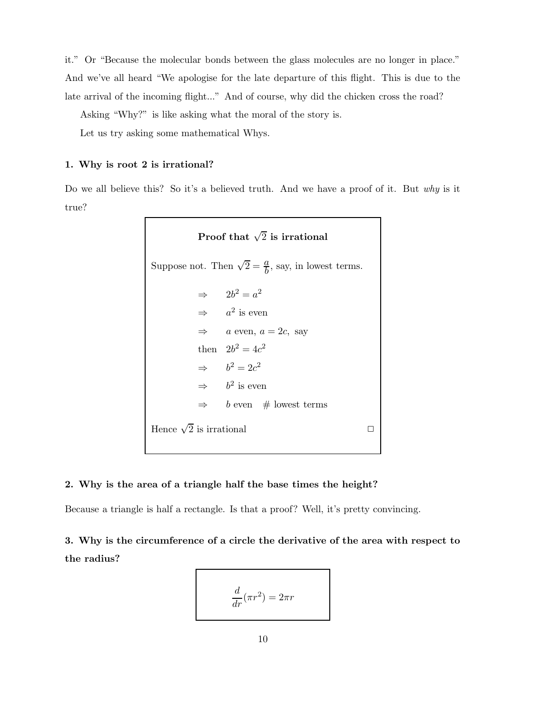it." Or "Because the molecular bonds between the glass molecules are no longer in place." And we've all heard "We apologise for the late departure of this flight. This is due to the late arrival of the incoming flight..." And of course, why did the chicken cross the road?

Asking "Why?" is like asking what the moral of the story is.

Let us try asking some mathematical Whys.

### 1. Why is root 2 is irrational?

Do we all believe this? So it's a believed truth. And we have a proof of it. But why is it true?

> Proof that  $\sqrt{2}$  is irrational Suppose not. Then  $\sqrt{2} = \frac{a}{b}$  $\frac{a}{b}$ , say, in lowest terms.  $\Rightarrow$   $2b^2 = a^2$  $\Rightarrow$  a<sup>2</sup> is even  $\Rightarrow$  a even,  $a = 2c$ , say then  $2b^2 = 4c^2$  $\Rightarrow$   $b^2 = 2c^2$  $\Rightarrow$   $b^2$  is even  $\Rightarrow$  b even # lowest terms Hence  $\sqrt{2}$  is irrational  $\square$

#### 2. Why is the area of a triangle half the base times the height?

Because a triangle is half a rectangle. Is that a proof? Well, it's pretty convincing.

3. Why is the circumference of a circle the derivative of the area with respect to the radius?

$$
\frac{d}{dr}(\pi r^2) = 2\pi r
$$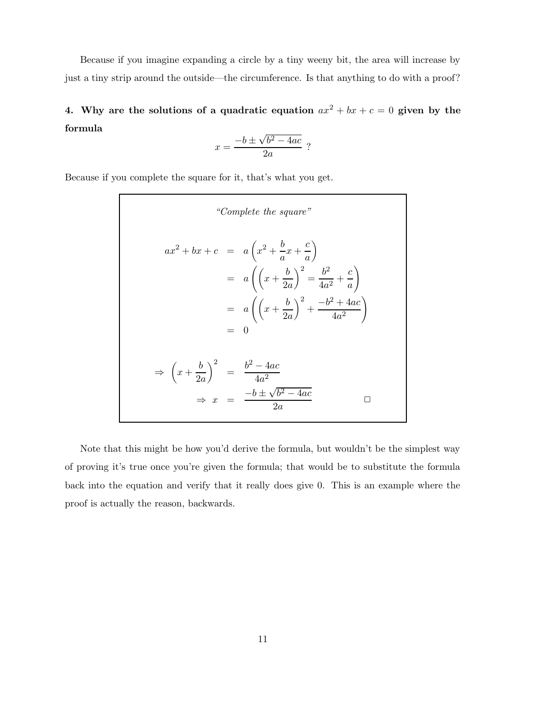Because if you imagine expanding a circle by a tiny weeny bit, the area will increase by just a tiny strip around the outside—the circumference. Is that anything to do with a proof?

4. Why are the solutions of a quadratic equation  $ax^2 + bx + c = 0$  given by the formula

$$
x = \frac{-b \pm \sqrt{b^2 - 4ac}}{2a} ?
$$

Because if you complete the square for it, that's what you get.

$$
``Complete the square"
$$
\n
$$
ax^{2} + bx + c = a\left(x^{2} + \frac{b}{a}x + \frac{c}{a}\right)
$$
\n
$$
= a\left(\left(x + \frac{b}{2a}\right)^{2} = \frac{b^{2}}{4a^{2}} + \frac{c}{a}\right)
$$
\n
$$
= a\left(\left(x + \frac{b}{2a}\right)^{2} + \frac{-b^{2} + 4ac}{4a^{2}}\right)
$$
\n
$$
= 0
$$
\n
$$
\Rightarrow \left(x + \frac{b}{2a}\right)^{2} = \frac{b^{2} - 4ac}{4a^{2}}
$$
\n
$$
\Rightarrow x = \frac{-b \pm \sqrt{b^{2} - 4ac}}{2a}
$$

Note that this might be how you'd derive the formula, but wouldn't be the simplest way of proving it's true once you're given the formula; that would be to substitute the formula back into the equation and verify that it really does give 0. This is an example where the proof is actually the reason, backwards.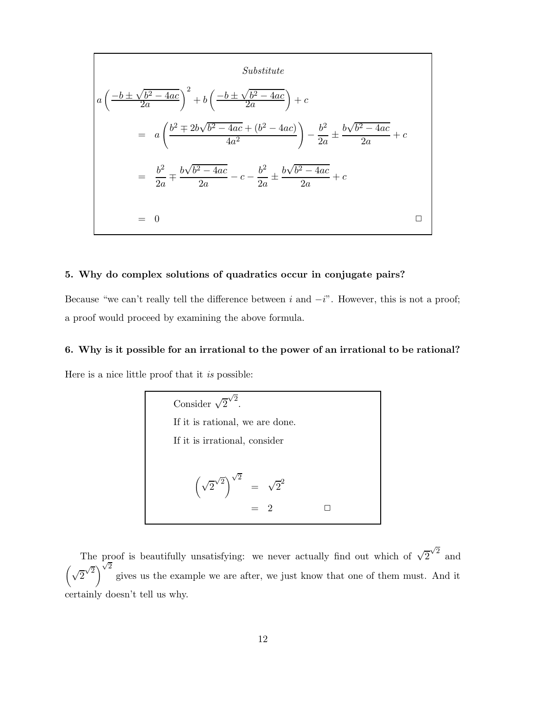Substitute  
\n
$$
a\left(\frac{-b \pm \sqrt{b^2 - 4ac}}{2a}\right)^2 + b\left(\frac{-b \pm \sqrt{b^2 - 4ac}}{2a}\right) + c
$$
\n
$$
= a\left(\frac{b^2 \mp 2b\sqrt{b^2 - 4ac} + (b^2 - 4ac)}{4a^2}\right) - \frac{b^2}{2a} \pm \frac{b\sqrt{b^2 - 4ac}}{2a} + c
$$
\n
$$
= \frac{b^2}{2a} \mp \frac{b\sqrt{b^2 - 4ac}}{2a} - c - \frac{b^2}{2a} \pm \frac{b\sqrt{b^2 - 4ac}}{2a} + c
$$
\n
$$
= 0
$$

# 5. Why do complex solutions of quadratics occur in conjugate pairs?

Because "we can't really tell the difference between i and  $-i$ ". However, this is not a proof; a proof would proceed by examining the above formula.

## 6. Why is it possible for an irrational to the power of an irrational to be rational?

Here is a nice little proof that it is possible:

Consider 
$$
\sqrt{2}^{\sqrt{2}}
$$
.  
\nIf it is rational, we are done.  
\nIf it is irrational, consider  
\n
$$
(\sqrt{2}^{\sqrt{2}})^{\sqrt{2}} = \sqrt{2}^2
$$
\n
$$
= 2
$$

The proof is beautifully unsatisfying: we never actually find out which of  $\sqrt{2}^{\sqrt{2}}$  and  $\left(\sqrt{2}\sqrt{2}\right)$  $\sqrt{2}$ <sup> $\sqrt{2}$ </sup> gives us the example we are after, we just know that one of them must. And it certainly doesn't tell us why.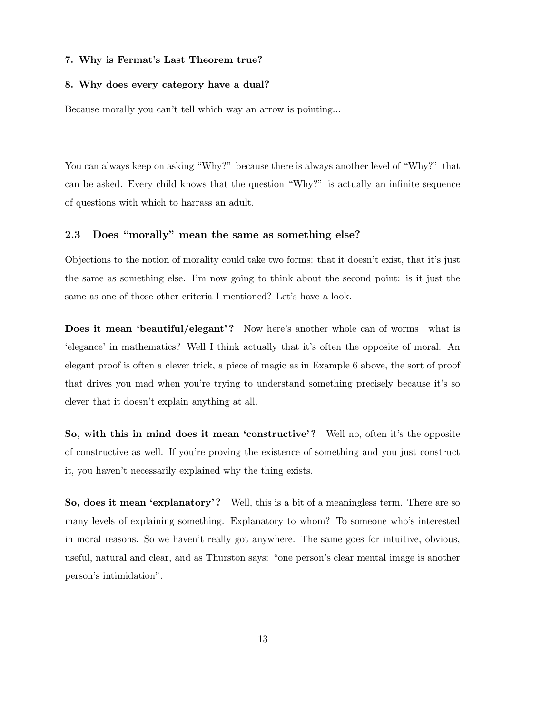### 7. Why is Fermat's Last Theorem true?

### 8. Why does every category have a dual?

Because morally you can't tell which way an arrow is pointing...

You can always keep on asking "Why?" because there is always another level of "Why?" that can be asked. Every child knows that the question "Why?" is actually an infinite sequence of questions with which to harrass an adult.

### 2.3 Does "morally" mean the same as something else?

Objections to the notion of morality could take two forms: that it doesn't exist, that it's just the same as something else. I'm now going to think about the second point: is it just the same as one of those other criteria I mentioned? Let's have a look.

Does it mean 'beautiful/elegant'? Now here's another whole can of worms—what is 'elegance' in mathematics? Well I think actually that it's often the opposite of moral. An elegant proof is often a clever trick, a piece of magic as in Example 6 above, the sort of proof that drives you mad when you're trying to understand something precisely because it's so clever that it doesn't explain anything at all.

So, with this in mind does it mean 'constructive'? Well no, often it's the opposite of constructive as well. If you're proving the existence of something and you just construct it, you haven't necessarily explained why the thing exists.

So, does it mean 'explanatory'? Well, this is a bit of a meaningless term. There are so many levels of explaining something. Explanatory to whom? To someone who's interested in moral reasons. So we haven't really got anywhere. The same goes for intuitive, obvious, useful, natural and clear, and as Thurston says: "one person's clear mental image is another person's intimidation".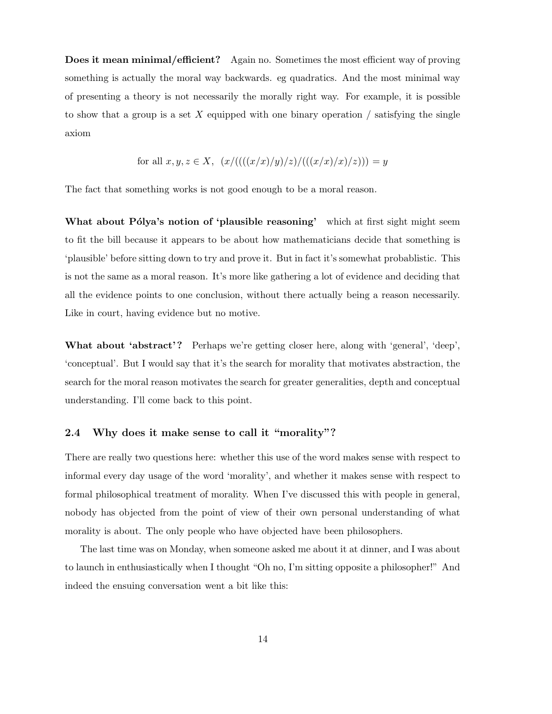Does it mean minimal/efficient? Again no. Sometimes the most efficient way of proving something is actually the moral way backwards. eg quadratics. And the most minimal way of presenting a theory is not necessarily the morally right way. For example, it is possible to show that a group is a set X equipped with one binary operation  $/$  satisfying the single axiom

for all 
$$
x, y, z \in X
$$
,  $(x/(((x/x)/y)/z)/(((x/x)/x)/z))) = y$ 

The fact that something works is not good enough to be a moral reason.

What about Pólya's notion of 'plausible reasoning' which at first sight might seem to fit the bill because it appears to be about how mathematicians decide that something is 'plausible' before sitting down to try and prove it. But in fact it's somewhat probablistic. This is not the same as a moral reason. It's more like gathering a lot of evidence and deciding that all the evidence points to one conclusion, without there actually being a reason necessarily. Like in court, having evidence but no motive.

What about 'abstract'? Perhaps we're getting closer here, along with 'general', 'deep', 'conceptual'. But I would say that it's the search for morality that motivates abstraction, the search for the moral reason motivates the search for greater generalities, depth and conceptual understanding. I'll come back to this point.

## 2.4 Why does it make sense to call it "morality"?

There are really two questions here: whether this use of the word makes sense with respect to informal every day usage of the word 'morality', and whether it makes sense with respect to formal philosophical treatment of morality. When I've discussed this with people in general, nobody has objected from the point of view of their own personal understanding of what morality is about. The only people who have objected have been philosophers.

The last time was on Monday, when someone asked me about it at dinner, and I was about to launch in enthusiastically when I thought "Oh no, I'm sitting opposite a philosopher!" And indeed the ensuing conversation went a bit like this: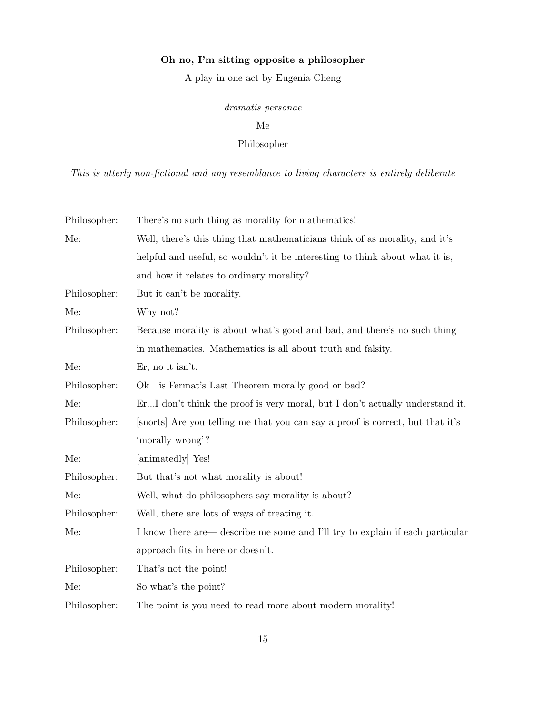# Oh no, I'm sitting opposite a philosopher

A play in one act by Eugenia Cheng

# dramatis personae

## Me

# Philosopher

This is utterly non-fictional and any resemblance to living characters is entirely deliberate

| Philosopher: | There's no such thing as morality for mathematics!                             |  |  |
|--------------|--------------------------------------------------------------------------------|--|--|
| Me:          | Well, there's this thing that mathematicians think of as morality, and it's    |  |  |
|              | helpful and useful, so wouldn't it be interesting to think about what it is,   |  |  |
|              | and how it relates to ordinary morality?                                       |  |  |
| Philosopher: | But it can't be morality.                                                      |  |  |
| Me:          | Why not?                                                                       |  |  |
| Philosopher: | Because morality is about what's good and bad, and there's no such thing       |  |  |
|              | in mathematics. Mathematics is all about truth and falsity.                    |  |  |
| Me:          | $Er$ , no it isn't.                                                            |  |  |
| Philosopher: | Ok—is Fermat's Last Theorem morally good or bad?                               |  |  |
| Me:          | ErI don't think the proof is very moral, but I don't actually understand it.   |  |  |
| Philosopher: | [snorts] Are you telling me that you can say a proof is correct, but that it's |  |  |
|              | 'morally wrong'?                                                               |  |  |
| Me:          | [animatedly] Yes!                                                              |  |  |
| Philosopher: | But that's not what morality is about!                                         |  |  |
| Me:          | Well, what do philosophers say morality is about?                              |  |  |
| Philosopher: | Well, there are lots of ways of treating it.                                   |  |  |
| Me:          | I know there are describe me some and I'll try to explain if each particular   |  |  |
|              | approach fits in here or doesn't.                                              |  |  |
| Philosopher: | That's not the point!                                                          |  |  |
| Me:          | So what's the point?                                                           |  |  |
| Philosopher: | The point is you need to read more about modern morality!                      |  |  |
|              |                                                                                |  |  |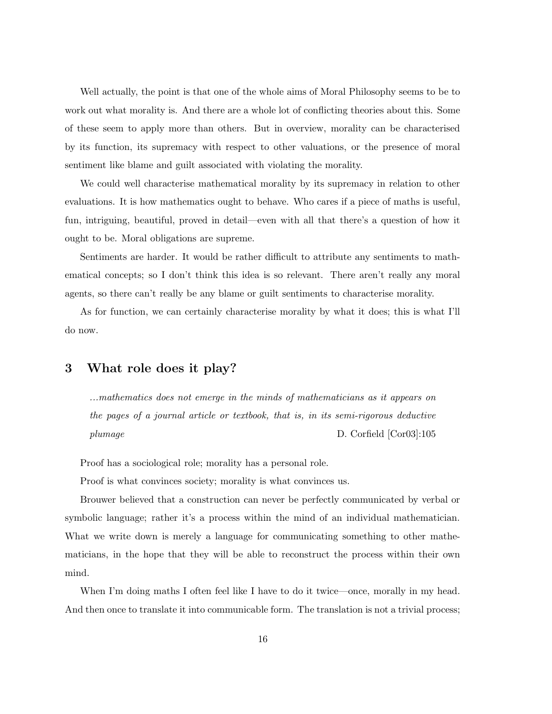Well actually, the point is that one of the whole aims of Moral Philosophy seems to be to work out what morality is. And there are a whole lot of conflicting theories about this. Some of these seem to apply more than others. But in overview, morality can be characterised by its function, its supremacy with respect to other valuations, or the presence of moral sentiment like blame and guilt associated with violating the morality.

We could well characterise mathematical morality by its supremacy in relation to other evaluations. It is how mathematics ought to behave. Who cares if a piece of maths is useful, fun, intriguing, beautiful, proved in detail—even with all that there's a question of how it ought to be. Moral obligations are supreme.

Sentiments are harder. It would be rather difficult to attribute any sentiments to mathematical concepts; so I don't think this idea is so relevant. There aren't really any moral agents, so there can't really be any blame or guilt sentiments to characterise morality.

As for function, we can certainly characterise morality by what it does; this is what I'll do now.

# 3 What role does it play?

...mathematics does not emerge in the minds of mathematicians as it appears on the pages of a journal article or textbook, that is, in its semi-rigorous deductive plumage D. Corfield [Cor03]:105

Proof has a sociological role; morality has a personal role.

Proof is what convinces society; morality is what convinces us.

Brouwer believed that a construction can never be perfectly communicated by verbal or symbolic language; rather it's a process within the mind of an individual mathematician. What we write down is merely a language for communicating something to other mathematicians, in the hope that they will be able to reconstruct the process within their own mind.

When I'm doing maths I often feel like I have to do it twice—once, morally in my head. And then once to translate it into communicable form. The translation is not a trivial process;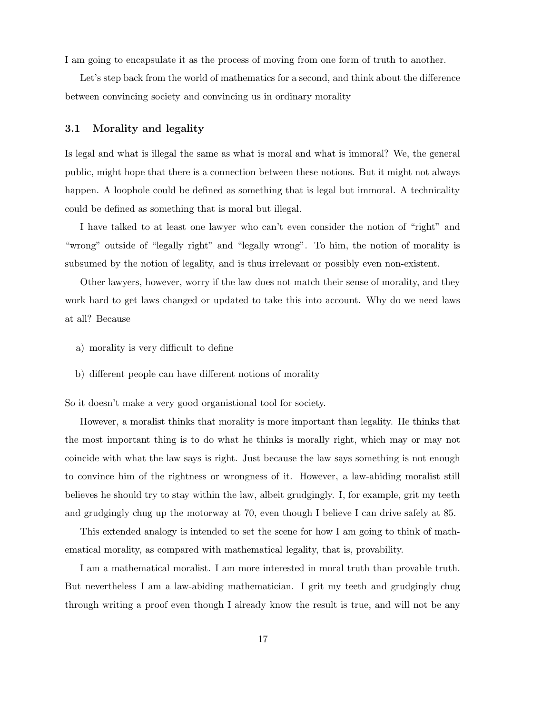I am going to encapsulate it as the process of moving from one form of truth to another.

Let's step back from the world of mathematics for a second, and think about the difference between convincing society and convincing us in ordinary morality

### 3.1 Morality and legality

Is legal and what is illegal the same as what is moral and what is immoral? We, the general public, might hope that there is a connection between these notions. But it might not always happen. A loophole could be defined as something that is legal but immoral. A technicality could be defined as something that is moral but illegal.

I have talked to at least one lawyer who can't even consider the notion of "right" and "wrong" outside of "legally right" and "legally wrong". To him, the notion of morality is subsumed by the notion of legality, and is thus irrelevant or possibly even non-existent.

Other lawyers, however, worry if the law does not match their sense of morality, and they work hard to get laws changed or updated to take this into account. Why do we need laws at all? Because

- a) morality is very difficult to define
- b) different people can have different notions of morality

So it doesn't make a very good organistional tool for society.

However, a moralist thinks that morality is more important than legality. He thinks that the most important thing is to do what he thinks is morally right, which may or may not coincide with what the law says is right. Just because the law says something is not enough to convince him of the rightness or wrongness of it. However, a law-abiding moralist still believes he should try to stay within the law, albeit grudgingly. I, for example, grit my teeth and grudgingly chug up the motorway at 70, even though I believe I can drive safely at 85.

This extended analogy is intended to set the scene for how I am going to think of mathematical morality, as compared with mathematical legality, that is, provability.

I am a mathematical moralist. I am more interested in moral truth than provable truth. But nevertheless I am a law-abiding mathematician. I grit my teeth and grudgingly chug through writing a proof even though I already know the result is true, and will not be any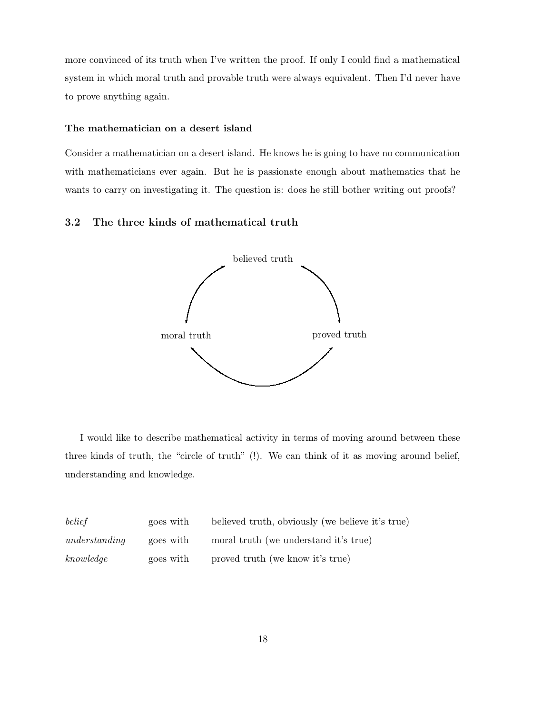more convinced of its truth when I've written the proof. If only I could find a mathematical system in which moral truth and provable truth were always equivalent. Then I'd never have to prove anything again.

### The mathematician on a desert island

Consider a mathematician on a desert island. He knows he is going to have no communication with mathematicians ever again. But he is passionate enough about mathematics that he wants to carry on investigating it. The question is: does he still bother writing out proofs?

## 3.2 The three kinds of mathematical truth



I would like to describe mathematical activity in terms of moving around between these three kinds of truth, the "circle of truth" (!). We can think of it as moving around belief, understanding and knowledge.

| belief        | goes with | believed truth, obviously (we believe it's true) |
|---------------|-----------|--------------------------------------------------|
| understanding | goes with | moral truth (we understand it's true)            |
| knowledge     | goes with | proved truth (we know it's true)                 |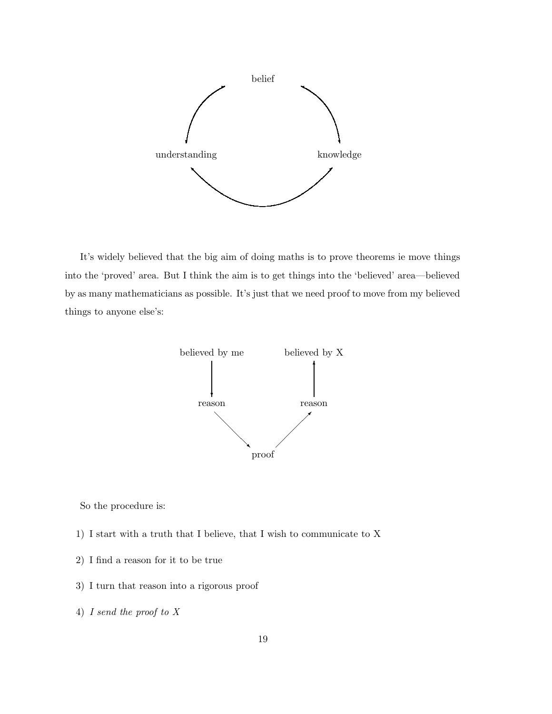

It's widely believed that the big aim of doing maths is to prove theorems ie move things into the 'proved' area. But I think the aim is to get things into the 'believed' area—believed by as many mathematicians as possible. It's just that we need proof to move from my believed things to anyone else's:



So the procedure is:

- 1) I start with a truth that I believe, that I wish to communicate to X
- 2) I find a reason for it to be true
- 3) I turn that reason into a rigorous proof
- 4) I send the proof to X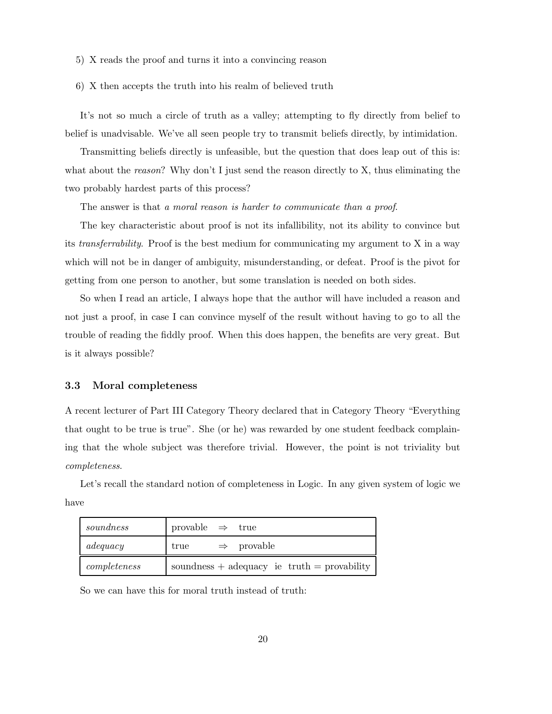- 5) X reads the proof and turns it into a convincing reason
- 6) X then accepts the truth into his realm of believed truth

It's not so much a circle of truth as a valley; attempting to fly directly from belief to belief is unadvisable. We've all seen people try to transmit beliefs directly, by intimidation.

Transmitting beliefs directly is unfeasible, but the question that does leap out of this is: what about the *reason*? Why don't I just send the reason directly to X, thus eliminating the two probably hardest parts of this process?

The answer is that a moral reason is harder to communicate than a proof.

The key characteristic about proof is not its infallibility, not its ability to convince but its transferrability. Proof is the best medium for communicating my argument to X in a way which will not be in danger of ambiguity, misunderstanding, or defeat. Proof is the pivot for getting from one person to another, but some translation is needed on both sides.

So when I read an article, I always hope that the author will have included a reason and not just a proof, in case I can convince myself of the result without having to go to all the trouble of reading the fiddly proof. When this does happen, the benefits are very great. But is it always possible?

### 3.3 Moral completeness

A recent lecturer of Part III Category Theory declared that in Category Theory "Everything that ought to be true is true". She (or he) was rewarded by one student feedback complaining that the whole subject was therefore trivial. However, the point is not triviality but completeness.

Let's recall the standard notion of completeness in Logic. In any given system of logic we have

| soundness    | provable $\Rightarrow$ true |                                             |
|--------------|-----------------------------|---------------------------------------------|
| adequacy     | true                        | $\Rightarrow$ provable                      |
| completeness |                             | soundness + adequacy ie truth = provability |

So we can have this for moral truth instead of truth: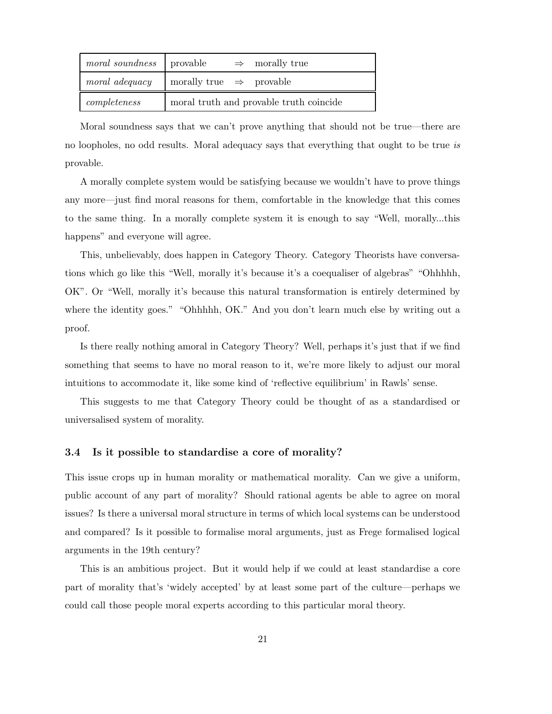| <i>moral soundness</i> provable |                                         |  | $\Rightarrow$ morally true |
|---------------------------------|-----------------------------------------|--|----------------------------|
| moral adequacy                  | morally true $\Rightarrow$ provable     |  |                            |
| completeness                    | moral truth and provable truth coincide |  |                            |

Moral soundness says that we can't prove anything that should not be true—there are no loopholes, no odd results. Moral adequacy says that everything that ought to be true is provable.

A morally complete system would be satisfying because we wouldn't have to prove things any more—just find moral reasons for them, comfortable in the knowledge that this comes to the same thing. In a morally complete system it is enough to say "Well, morally...this happens" and everyone will agree.

This, unbelievably, does happen in Category Theory. Category Theorists have conversations which go like this "Well, morally it's because it's a coequaliser of algebras" "Ohhhhh, OK". Or "Well, morally it's because this natural transformation is entirely determined by where the identity goes." "Ohhhhh, OK." And you don't learn much else by writing out a proof.

Is there really nothing amoral in Category Theory? Well, perhaps it's just that if we find something that seems to have no moral reason to it, we're more likely to adjust our moral intuitions to accommodate it, like some kind of 'reflective equilibrium' in Rawls' sense.

This suggests to me that Category Theory could be thought of as a standardised or universalised system of morality.

### 3.4 Is it possible to standardise a core of morality?

This issue crops up in human morality or mathematical morality. Can we give a uniform, public account of any part of morality? Should rational agents be able to agree on moral issues? Is there a universal moral structure in terms of which local systems can be understood and compared? Is it possible to formalise moral arguments, just as Frege formalised logical arguments in the 19th century?

This is an ambitious project. But it would help if we could at least standardise a core part of morality that's 'widely accepted' by at least some part of the culture—perhaps we could call those people moral experts according to this particular moral theory.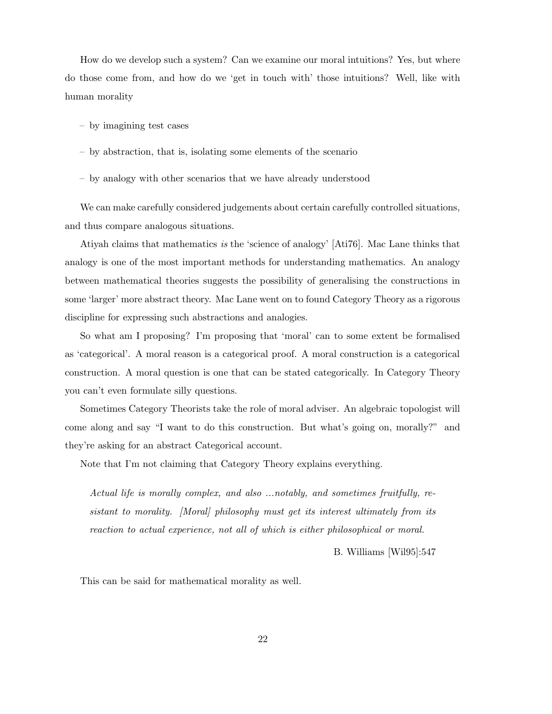How do we develop such a system? Can we examine our moral intuitions? Yes, but where do those come from, and how do we 'get in touch with' those intuitions? Well, like with human morality

- by imagining test cases
- by abstraction, that is, isolating some elements of the scenario
- by analogy with other scenarios that we have already understood

We can make carefully considered judgements about certain carefully controlled situations, and thus compare analogous situations.

Atiyah claims that mathematics is the 'science of analogy' [Ati76]. Mac Lane thinks that analogy is one of the most important methods for understanding mathematics. An analogy between mathematical theories suggests the possibility of generalising the constructions in some 'larger' more abstract theory. Mac Lane went on to found Category Theory as a rigorous discipline for expressing such abstractions and analogies.

So what am I proposing? I'm proposing that 'moral' can to some extent be formalised as 'categorical'. A moral reason is a categorical proof. A moral construction is a categorical construction. A moral question is one that can be stated categorically. In Category Theory you can't even formulate silly questions.

Sometimes Category Theorists take the role of moral adviser. An algebraic topologist will come along and say "I want to do this construction. But what's going on, morally?" and they're asking for an abstract Categorical account.

Note that I'm not claiming that Category Theory explains everything.

Actual life is morally complex, and also ...notably, and sometimes fruitfully, resistant to morality. [Moral] philosophy must get its interest ultimately from its reaction to actual experience, not all of which is either philosophical or moral.

B. Williams [Wil95]:547

This can be said for mathematical morality as well.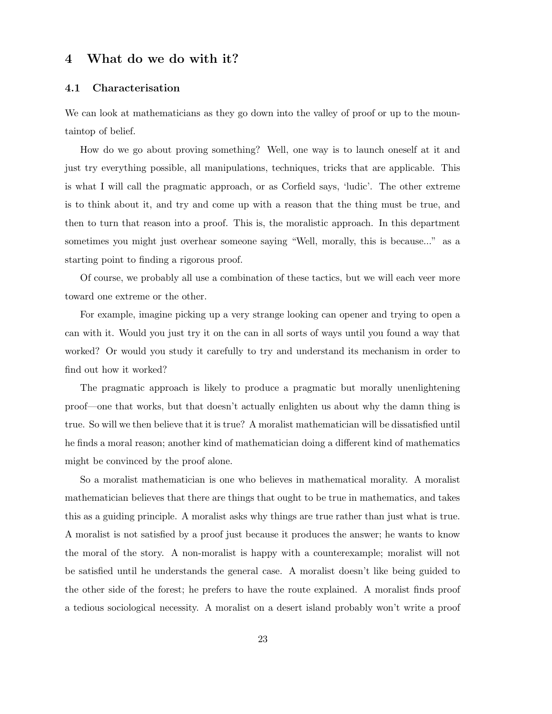# 4 What do we do with it?

## 4.1 Characterisation

We can look at mathematicians as they go down into the valley of proof or up to the mountaintop of belief.

How do we go about proving something? Well, one way is to launch oneself at it and just try everything possible, all manipulations, techniques, tricks that are applicable. This is what I will call the pragmatic approach, or as Corfield says, 'ludic'. The other extreme is to think about it, and try and come up with a reason that the thing must be true, and then to turn that reason into a proof. This is, the moralistic approach. In this department sometimes you might just overhear someone saying "Well, morally, this is because..." as a starting point to finding a rigorous proof.

Of course, we probably all use a combination of these tactics, but we will each veer more toward one extreme or the other.

For example, imagine picking up a very strange looking can opener and trying to open a can with it. Would you just try it on the can in all sorts of ways until you found a way that worked? Or would you study it carefully to try and understand its mechanism in order to find out how it worked?

The pragmatic approach is likely to produce a pragmatic but morally unenlightening proof—one that works, but that doesn't actually enlighten us about why the damn thing is true. So will we then believe that it is true? A moralist mathematician will be dissatisfied until he finds a moral reason; another kind of mathematician doing a different kind of mathematics might be convinced by the proof alone.

So a moralist mathematician is one who believes in mathematical morality. A moralist mathematician believes that there are things that ought to be true in mathematics, and takes this as a guiding principle. A moralist asks why things are true rather than just what is true. A moralist is not satisfied by a proof just because it produces the answer; he wants to know the moral of the story. A non-moralist is happy with a counterexample; moralist will not be satisfied until he understands the general case. A moralist doesn't like being guided to the other side of the forest; he prefers to have the route explained. A moralist finds proof a tedious sociological necessity. A moralist on a desert island probably won't write a proof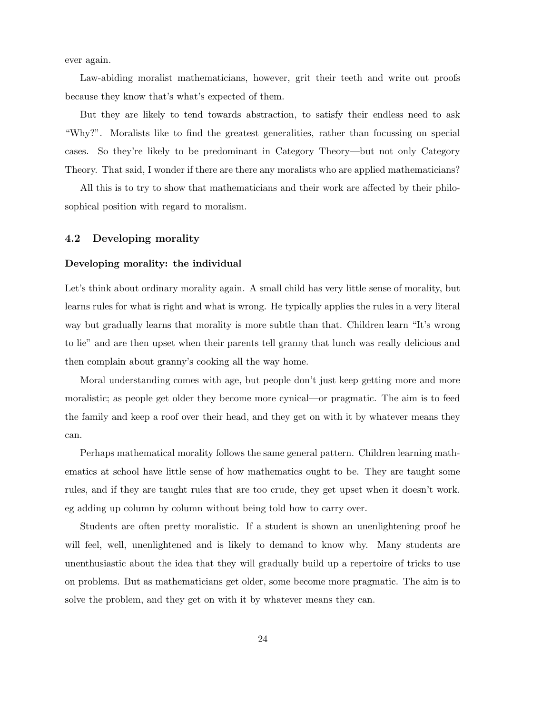ever again.

Law-abiding moralist mathematicians, however, grit their teeth and write out proofs because they know that's what's expected of them.

But they are likely to tend towards abstraction, to satisfy their endless need to ask "Why?". Moralists like to find the greatest generalities, rather than focussing on special cases. So they're likely to be predominant in Category Theory—but not only Category Theory. That said, I wonder if there are there any moralists who are applied mathematicians?

All this is to try to show that mathematicians and their work are affected by their philosophical position with regard to moralism.

## 4.2 Developing morality

#### Developing morality: the individual

Let's think about ordinary morality again. A small child has very little sense of morality, but learns rules for what is right and what is wrong. He typically applies the rules in a very literal way but gradually learns that morality is more subtle than that. Children learn "It's wrong to lie" and are then upset when their parents tell granny that lunch was really delicious and then complain about granny's cooking all the way home.

Moral understanding comes with age, but people don't just keep getting more and more moralistic; as people get older they become more cynical—or pragmatic. The aim is to feed the family and keep a roof over their head, and they get on with it by whatever means they can.

Perhaps mathematical morality follows the same general pattern. Children learning mathematics at school have little sense of how mathematics ought to be. They are taught some rules, and if they are taught rules that are too crude, they get upset when it doesn't work. eg adding up column by column without being told how to carry over.

Students are often pretty moralistic. If a student is shown an unenlightening proof he will feel, well, unenlightened and is likely to demand to know why. Many students are unenthusiastic about the idea that they will gradually build up a repertoire of tricks to use on problems. But as mathematicians get older, some become more pragmatic. The aim is to solve the problem, and they get on with it by whatever means they can.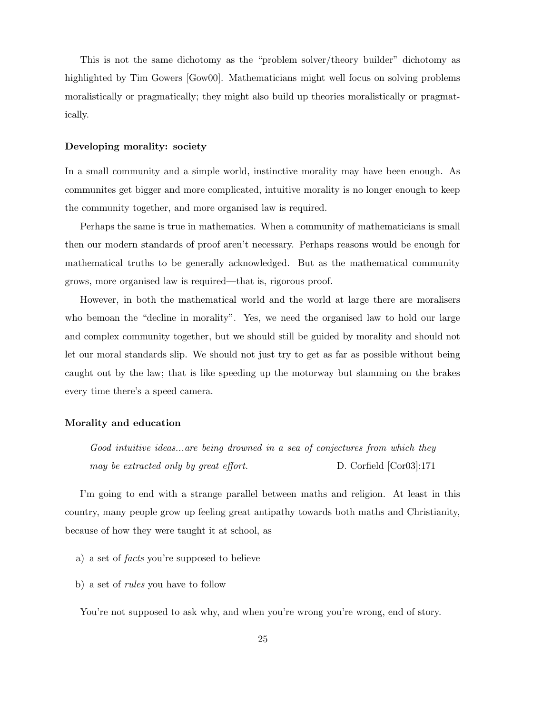This is not the same dichotomy as the "problem solver/theory builder" dichotomy as highlighted by Tim Gowers [Gow00]. Mathematicians might well focus on solving problems moralistically or pragmatically; they might also build up theories moralistically or pragmatically.

#### Developing morality: society

In a small community and a simple world, instinctive morality may have been enough. As communites get bigger and more complicated, intuitive morality is no longer enough to keep the community together, and more organised law is required.

Perhaps the same is true in mathematics. When a community of mathematicians is small then our modern standards of proof aren't necessary. Perhaps reasons would be enough for mathematical truths to be generally acknowledged. But as the mathematical community grows, more organised law is required—that is, rigorous proof.

However, in both the mathematical world and the world at large there are moralisers who bemoan the "decline in morality". Yes, we need the organised law to hold our large and complex community together, but we should still be guided by morality and should not let our moral standards slip. We should not just try to get as far as possible without being caught out by the law; that is like speeding up the motorway but slamming on the brakes every time there's a speed camera.

#### Morality and education

Good intuitive ideas...are being drowned in a sea of conjectures from which they may be extracted only by great effort. D. Corfield [Cor03]:171

I'm going to end with a strange parallel between maths and religion. At least in this country, many people grow up feeling great antipathy towards both maths and Christianity, because of how they were taught it at school, as

- a) a set of facts you're supposed to believe
- b) a set of rules you have to follow

You're not supposed to ask why, and when you're wrong you're wrong, end of story.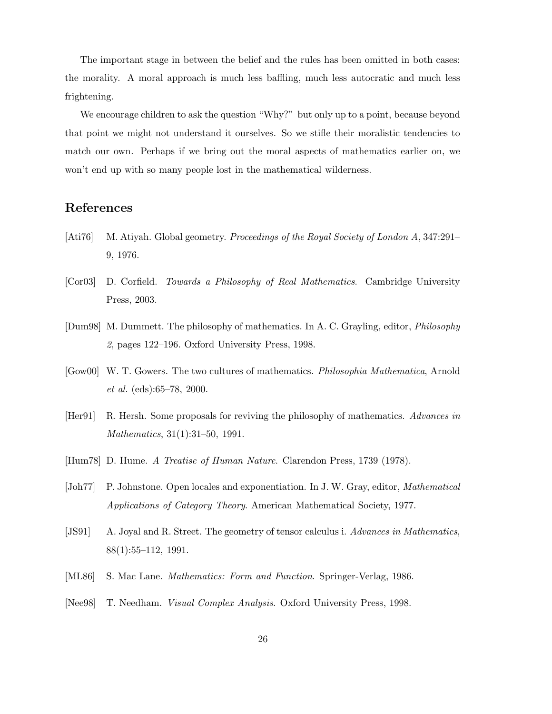The important stage in between the belief and the rules has been omitted in both cases: the morality. A moral approach is much less baffling, much less autocratic and much less frightening.

We encourage children to ask the question "Why?" but only up to a point, because beyond that point we might not understand it ourselves. So we stifle their moralistic tendencies to match our own. Perhaps if we bring out the moral aspects of mathematics earlier on, we won't end up with so many people lost in the mathematical wilderness.

# References

- [Ati76] M. Atiyah. Global geometry. Proceedings of the Royal Society of London A, 347:291– 9, 1976.
- [Cor03] D. Corfield. Towards a Philosophy of Real Mathematics. Cambridge University Press, 2003.
- [Dum98] M. Dummett. The philosophy of mathematics. In A. C. Grayling, editor, Philosophy 2, pages 122–196. Oxford University Press, 1998.
- [Gow00] W. T. Gowers. The two cultures of mathematics. Philosophia Mathematica, Arnold et al. (eds):65–78, 2000.
- [Her91] R. Hersh. Some proposals for reviving the philosophy of mathematics. Advances in Mathematics, 31(1):31–50, 1991.
- [Hum78] D. Hume. A Treatise of Human Nature. Clarendon Press, 1739 (1978).
- [Joh77] P. Johnstone. Open locales and exponentiation. In J. W. Gray, editor, Mathematical Applications of Category Theory. American Mathematical Society, 1977.
- [JS91] A. Joyal and R. Street. The geometry of tensor calculus i. Advances in Mathematics, 88(1):55–112, 1991.
- [ML86] S. Mac Lane. Mathematics: Form and Function. Springer-Verlag, 1986.
- [Nee98] T. Needham. *Visual Complex Analysis*. Oxford University Press, 1998.